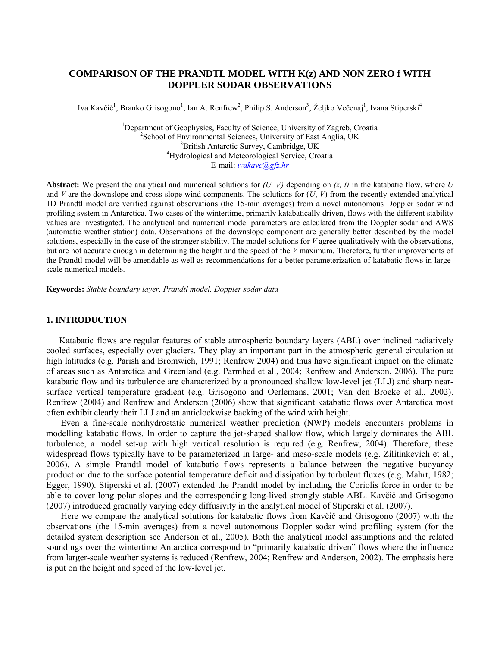# **COMPARISON OF THE PRANDTL MODEL WITH K(z) AND NON ZERO f WITH DOPPLER SODAR OBSERVATIONS**

Iva Kavčič<sup>1</sup>, Branko Grisogono<sup>1</sup>, Ian A. Renfrew<sup>2</sup>, Philip S. Anderson<sup>3</sup>, Željko Večenaj<sup>1</sup>, Ivana Stiperski<sup>4</sup>

<sup>1</sup>Department of Geophysics, Faculty of Science, University of Zagreb, Croatia  $\frac{2}{3}$ School of Environmental Sciences, University of East Anglia JIV  $\rm^2$ School of Environmental Sciences, University of East Anglia, UK <sup>3</sup>British Antarctic Survey, Cambridge, UK <sup>4</sup>Hydrological and Meteorological Service, Croatia E-mail: *[ivakavc@gfz.hr](mailto:ivakavc@gfz.hr)*

**Abstract:** We present the analytical and numerical solutions for  $(U, V)$  depending on  $(z, t)$  in the katabatic flow, where  $U$ and *V* are the downslope and cross-slope wind components. The solutions for (*U*, *V*) from the recently extended analytical 1D Prandtl model are verified against observations (the 15-min averages) from a novel autonomous Doppler sodar wind profiling system in Antarctica. Two cases of the wintertime, primarily katabatically driven, flows with the different stability values are investigated. The analytical and numerical model parameters are calculated from the Doppler sodar and AWS (automatic weather station) data. Observations of the downslope component are generally better described by the model solutions, especially in the case of the stronger stability. The model solutions for *V* agree qualitatively with the observations, but are not accurate enough in determining the height and the speed of the *V* maximum. Therefore, further improvements of the Prandtl model will be amendable as well as recommendations for a better parameterization of katabatic flows in largescale numerical models.

**Keywords:** *Stable boundary layer, Prandtl model, Doppler sodar data* 

## **1. INTRODUCTION**

Katabatic flows are regular features of stable atmospheric boundary layers (ABL) over inclined radiatively cooled surfaces, especially over glaciers. They play an important part in the atmospheric general circulation at high latitudes (e.g. Parish and Bromwich, 1991; Renfrew 2004) and thus have significant impact on the climate of areas such as Antarctica and Greenland (e.g. Parmhed et al., 2004; Renfrew and Anderson, 2006). The pure katabatic flow and its turbulence are characterized by a pronounced shallow low-level jet (LLJ) and sharp nearsurface vertical temperature gradient (e.g. Grisogono and Oerlemans, 2001; Van den Broeke et al., 2002). Renfrew (2004) and Renfrew and Anderson (2006) show that significant katabatic flows over Antarctica most often exhibit clearly their LLJ and an anticlockwise backing of the wind with height.

Even a fine-scale nonhydrostatic numerical weather prediction (NWP) models encounters problems in modelling katabatic flows. In order to capture the jet-shaped shallow flow, which largely dominates the ABL turbulence, a model set-up with high vertical resolution is required (e.g. Renfrew, 2004). Therefore, these widespread flows typically have to be parameterized in large- and meso-scale models (e.g. Zilitinkevich et al., 2006). A simple Prandtl model of katabatic flows represents a balance between the negative buoyancy production due to the surface potential temperature deficit and dissipation by turbulent fluxes (e.g. Mahrt, 1982; Egger, 1990). Stiperski et al. (2007) extended the Prandtl model by including the Coriolis force in order to be able to cover long polar slopes and the corresponding long-lived strongly stable ABL. Kavčič and Grisogono (2007) introduced gradually varying eddy diffusivity in the analytical model of Stiperski et al. (2007).

Here we compare the analytical solutions for katabatic flows from Kavčič and Grisogono (2007) with the observations (the 15-min averages) from a novel autonomous Doppler sodar wind profiling system (for the detailed system description see Anderson et al., 2005). Both the analytical model assumptions and the related soundings over the wintertime Antarctica correspond to "primarily katabatic driven" flows where the influence from larger-scale weather systems is reduced (Renfrew, 2004; Renfrew and Anderson, 2002). The emphasis here is put on the height and speed of the low-level jet.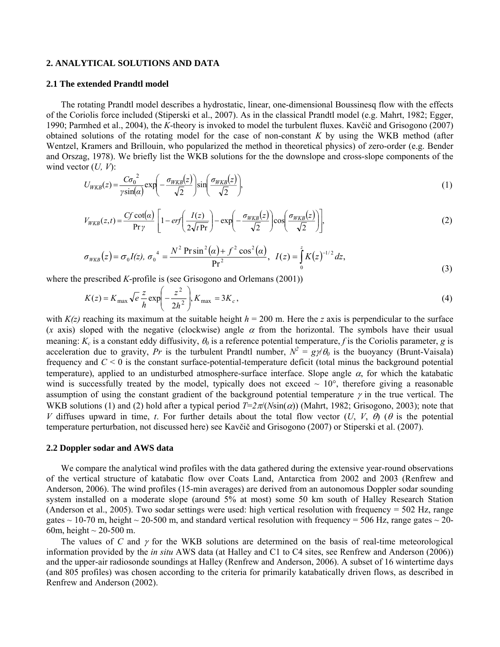## **2. ANALYTICAL SOLUTIONS AND DATA**

### **2.1 The extended Prandtl model**

The rotating Prandtl model describes a hydrostatic, linear, one-dimensional Boussinesq flow with the effects of the Coriolis force included (Stiperski et al., 2007). As in the classical Prandtl model (e.g. Mahrt, 1982; Egger, 1990; Parmhed et al., 2004), the *K*-theory is invoked to model the turbulent fluxes. Kavčič and Grisogono (2007) obtained solutions of the rotating model for the case of non-constant *K* by using the WKB method (after Wentzel, Kramers and Brillouin, who popularized the method in theoretical physics) of zero-order (e.g. Bender and Orszag, 1978). We briefly list the WKB solutions for the the downslope and cross-slope components of the wind vector (*U, V*):

$$
U_{WKB}(z) = \frac{C\sigma_0^2}{\gamma \sin(\alpha)} \exp\left(-\frac{\sigma_{WKB}(z)}{\sqrt{2}}\right) \sin\left(\frac{\sigma_{WKB}(z)}{\sqrt{2}}\right),\tag{1}
$$

$$
V_{WKB}(z,t) = \frac{Cf \cot(\alpha)}{\Pr \gamma} \left[ 1 - erf \left( \frac{I(z)}{2\sqrt{t \Pr}} \right) - \exp \left( -\frac{\sigma_{WKB}(z)}{\sqrt{2}} \right) \cos \left( \frac{\sigma_{WKB}(z)}{\sqrt{2}} \right) \right],\tag{2}
$$

$$
\sigma_{WKB}(z) = \sigma_0 I(z), \ \sigma_0^4 = \frac{N^2 \operatorname{Pr} \sin^2(\alpha) + f^2 \cos^2(\alpha)}{\operatorname{Pr}^2}, \ \ I(z) = \int_0^z K(z)^{-1/2} dz,
$$
\n(3)

where the prescribed *K*-profile is (see Grisogono and Orlemans (2001))

$$
K(z) = K_{\text{max}} \sqrt{e} \frac{z}{h} \exp\left(-\frac{z^2}{2h^2}\right), K_{\text{max}} = 3K_c,
$$
\n<sup>(4)</sup>

with  $K(z)$  reaching its maximum at the suitable height  $h = 200$  m. Here the *z* axis is perpendicular to the surface (*x* axis) sloped with the negative (clockwise) angle  $\alpha$  from the horizontal. The symbols have their usual meaning:  $K_c$  is a constant eddy diffusivity,  $\theta_0$  is a reference potential temperature, f is the Coriolis parameter, g is acceleration due to gravity, *Pr* is the turbulent Prandtl number,  $N^2 = g\psi\theta_0$  is the buoyancy (Brunt-Vaisala) frequency and  $C < 0$  is the constant surface-potential-temperature deficit (total minus the background potential temperature), applied to an undisturbed atmosphere-surface interface. Slope angle  $\alpha$ , for which the katabatic wind is successfully treated by the model, typically does not exceed  $\sim 10^{\circ}$ , therefore giving a reasonable assumption of using the constant gradient of the background potential temperature  $\gamma$  in the true vertical. The WKB solutions (1) and (2) hold after a typical period  $T=2\pi/(N\sin(\alpha))$  (Mahrt, 1982; Grisogono, 2003); note that *V* diffuses upward in time, *t*. For further details about the total flow vector  $(U, V, \theta)$  ( $\theta$  is the potential temperature perturbation, not discussed here) see Kavčič and Grisogono (2007) or Stiperski et al. (2007).

#### **2.2 Doppler sodar and AWS data**

We compare the analytical wind profiles with the data gathered during the extensive year-round observations of the vertical structure of katabatic flow over Coats Land, Antarctica from 2002 and 2003 (Renfrew and Anderson, 2006). The wind profiles (15-min averages) are derived from an autonomous Doppler sodar sounding system installed on a moderate slope (around 5% at most) some 50 km south of Halley Research Station (Anderson et al., 2005). Two sodar settings were used: high vertical resolution with frequency = 502 Hz, range gates  $\sim$  10-70 m, height  $\sim$  20-500 m, and standard vertical resolution with frequency = 506 Hz, range gates  $\sim$  20-60m, height  $\sim$  20-500 m.

The values of *C* and γ for the WKB solutions are determined on the basis of real-time meteorological information provided by the *in situ* AWS data (at Halley and C1 to C4 sites, see Renfrew and Anderson (2006)) and the upper-air radiosonde soundings at Halley (Renfrew and Anderson, 2006). A subset of 16 wintertime days (and 805 profiles) was chosen according to the criteria for primarily katabatically driven flows, as described in Renfrew and Anderson (2002).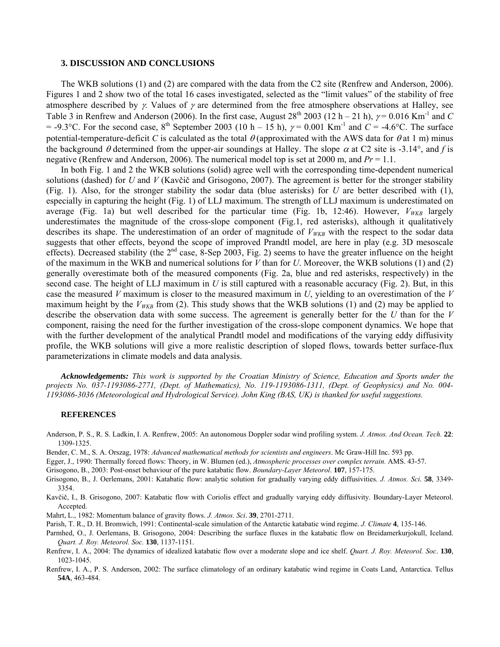### **3. DISCUSSION AND CONCLUSIONS**

The WKB solutions (1) and (2) are compared with the data from the C2 site (Renfrew and Anderson, 2006). Figures 1 and 2 show two of the total 16 cases investigated, selected as the "limit values" of the stability of free atmosphere described by  $\gamma$ . Values of  $\gamma$  are determined from the free atmosphere observations at Halley, see Table 3 in Renfrew and Anderson (2006). In the first case, August  $28^{th}$  2003 (12 h – 21 h),  $\gamma$  = 0.016 Km<sup>-1</sup> and *C* = -9.3°C. For the second case,  $8^{th}$  September 2003 (10 h – 15 h),  $\gamma$  = 0.001 Km<sup>-1</sup> and *C* = -4.6°C. The surface potential-temperature-deficit *C* is calculated as the total  $\theta$  (approximated with the AWS data for  $\theta$  at 1 m) minus the background  $\theta$  determined from the upper-air soundings at Halley. The slope  $\alpha$  at C2 site is -3.14°, and *f* is negative (Renfrew and Anderson, 2006). The numerical model top is set at 2000 m, and *Pr* = 1.1.

In both Fig. 1 and 2 the WKB solutions (solid) agree well with the corresponding time-dependent numerical solutions (dashed) for *U* and *V* (Kavčič and Grisogono, 2007). The agreement is better for the stronger stability (Fig. 1). Also, for the stronger stability the sodar data (blue asterisks) for *U* are better described with (1), especially in capturing the height (Fig. 1) of LLJ maximum. The strength of LLJ maximum is underestimated on average (Fig. 1a) but well described for the particular time (Fig. 1b, 12:46). However,  $V_{WKB}$  largely underestimates the magnitude of the cross-slope component (Fig.1, red asterisks), although it qualitatively describes its shape. The underestimation of an order of magnitude of  $V_{WKB}$  with the respect to the sodar data suggests that other effects, beyond the scope of improved Prandtl model, are here in play (e.g. 3D mesoscale effects). Decreased stability (the  $2<sup>nd</sup>$  case, 8-Sep 2003, Fig. 2) seems to have the greater influence on the height of the maximum in the WKB and numerical solutions for *V* than for *U*. Moreover, the WKB solutions (1) and (2) generally overestimate both of the measured components (Fig. 2a, blue and red asterisks, respectively) in the second case. The height of LLJ maximum in *U* is still captured with a reasonable accuracy (Fig. 2). But, in this case the measured *V* maximum is closer to the measured maximum in *U*, yielding to an overestimation of the *V* maximum height by the  $V_{WKB}$  from (2). This study shows that the WKB solutions (1) and (2) may be applied to describe the observation data with some success. The agreement is generally better for the *U* than for the *V* component, raising the need for the further investigation of the cross-slope component dynamics. We hope that with the further development of the analytical Prandtl model and modifications of the varying eddy diffusivity profile, the WKB solutions will give a more realistic description of sloped flows, towards better surface-flux parameterizations in climate models and data analysis.

*Acknowledgements: This work is supported by the Croatian Ministry of Science, Education and Sports under the projects No. 037-1193086-2771, (Dept. of Mathematics), No. 119-1193086-1311, (Dept. of Geophysics) and No. 004- 1193086-3036 (Meteorological and Hydrological Service). John King (BAS, UK) is thanked for useful suggestions.* 

#### **REFERENCES**

- Anderson, P. S., R. S. Ladkin, I. A. Renfrew, 2005: An autonomous Doppler sodar wind profiling system. *J. Atmos. And Ocean. Tech.* **22**: 1309-1325.
- Bender, C. M., S. A. Orszag, 1978: *Advanced mathematical methods for scientists and engineers*. Mc Graw-Hill Inc. 593 pp.
- Egger, J., 1990: Thermally forced flows: Theory, in W. Blumen (ed.), *Atmospheric processes over complex terrain.* AMS. 43-57.
- Grisogono, B., 2003: Post-onset behaviour of the pure katabatic flow. *Boundary-Layer Meteorol*. **107**, 157-175.
- Grisogono, B., J. Oerlemans, 2001: Katabatic flow: analytic solution for gradually varying eddy diffusivities. *J. Atmos. Sci*. **58**, 3349- 3354.
- Kavčič, I., B. Grisogono, 2007: Katabatic flow with Coriolis effect and gradually varying eddy diffusivity. Boundary-Layer Meteorol. Accepted.
- Mahrt, L., 1982: Momentum balance of gravity flows. *J. Atmos. Sci*. **39**, 2701-2711.
- Parish, T. R., D. H. Bromwich, 1991: Continental-scale simulation of the Antarctic katabatic wind regime. *J. Climate* **4**, 135-146.
- Parmhed, O., J. Oerlemans, B. Grisogono, 2004: Describing the surface fluxes in the katabatic flow on Breidamerkurjokull, Iceland. *Quart. J. Roy. Meteorol. Soc.* **130**, 1137-1151.
- Renfrew, I. A., 2004: The dynamics of idealized katabatic flow over a moderate slope and ice shelf. *Quart. J. Roy. Meteorol. Soc*. **130**, 1023-1045.
- Renfrew, I. A., P. S. Anderson, 2002: The surface climatology of an ordinary katabatic wind regime in Coats Land, Antarctica. Tellus **54A**, 463-484.